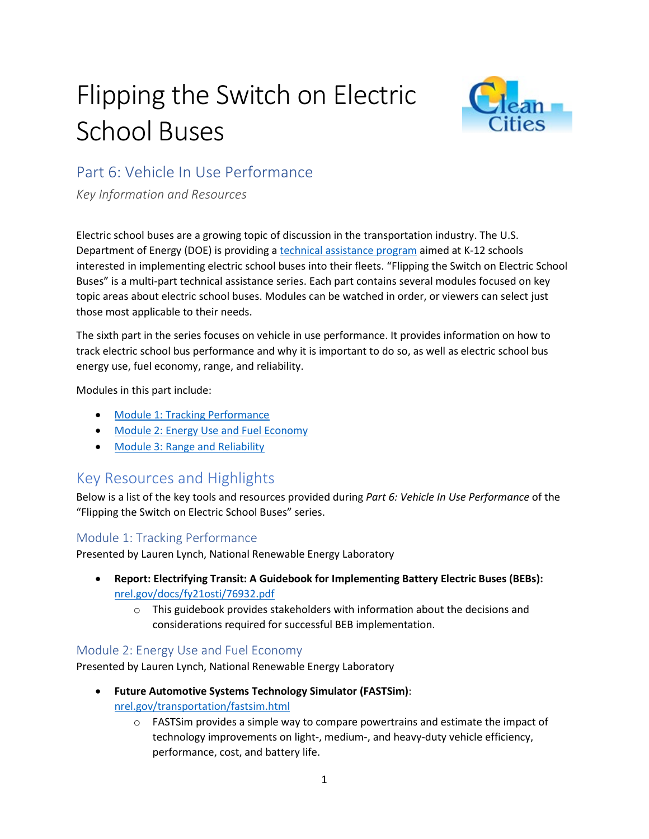# Flipping the Switch on Electric School Buses



## Part 6: Vehicle In Use Performance

*Key Information and Resources*

Electric school buses are a growing topic of discussion in the transportation industry. The U.S. Department of Energy (DOE) is providing a [technical assistance program](https://afdc.energy.gov/vehicles/electric_school_buses.html) aimed at K-12 schools interested in implementing electric school buses into their fleets. "Flipping the Switch on Electric School Buses" is a multi-part technical assistance series. Each part contains several modules focused on key topic areas about electric school buses. Modules can be watched in order, or viewers can select just those most applicable to their needs.

The sixth part in the series focuses on vehicle in use performance. It provides information on how to track electric school bus performance and why it is important to do so, as well as electric school bus energy use, fuel economy, range, and reliability.

Modules in this part include:

- [Module 1: Tracking Performance](https://pfs.nrel.gov/main.html?download&weblink=6a62effe72790f456514552fd1fa40ba&realfilename=ESB$20Part$206-Module$201.mp4)
- [Module 2: Energy Use and Fuel Economy](https://pfs.nrel.gov/main.html?download&weblink=628aaf93c9b2ff6721473a97db312c5c&realfilename=ESB$20Part$206-Module$202.mp4)
- [Module 3: Range and Reliability](https://pfs.nrel.gov/main.html?download&weblink=40a4754b5d249c63fec1e2d654d0fc08&realfilename=ESB$20Part$206-Module$203.mp4)

## Key Resources and Highlights

Below is a list of the key tools and resources provided during *Part 6: Vehicle In Use Performance* of the "Flipping the Switch on Electric School Buses" series.

#### Module 1: Tracking Performance

Presented by Lauren Lynch, National Renewable Energy Laboratory

- **Report: Electrifying Transit: A Guidebook for Implementing Battery Electric Buses (BEBs):**  [nrel.gov/docs/fy21osti/76932.pdf](https://www.nrel.gov/docs/fy21osti/76932.pdf)
	- $\circ$  This guidebook provides stakeholders with information about the decisions and considerations required for successful BEB implementation.

#### Module 2: Energy Use and Fuel Economy

Presented by Lauren Lynch, National Renewable Energy Laboratory

- **Future Automotive Systems Technology Simulator (FASTSim)**: [nrel.gov/transportation/fastsim.html](https://www.nrel.gov/transportation/fastsim)
	- $\circ$  FASTS im provides a simple way to compare powertrains and estimate the impact of technology improvements on light-, medium-, and heavy-duty vehicle efficiency, performance, cost, and battery life.